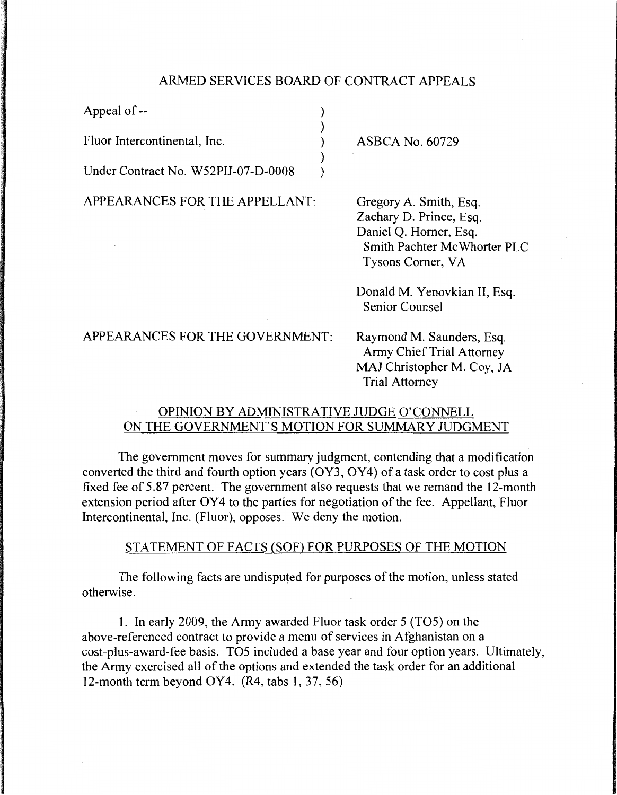## ARMED SERVICES BOARD OF CONTRACT APPEALS

) ) ) ) )

Appeal of --

Fluor Intercontinental, Inc.

Under Contract No. W52PIJ-07-D-0008

APPEARANCES FOR THE APPELLANT:

ASBCA No. 60729

Gregory A. Smith, Esq. Zachary D. Prince, Esq. Daniel Q. Homer, Esq. Smith Pachter Mc Whorter PLC Tysons Comer, VA

Donald M. Yenovkian II, Esq. Senior Counsel

APPEARANCES FOR THE GOVERNMENT:

Raymond M. Saunders, Esq. Army Chief Trial Attorney MAJ Christopher M. Coy, JA Trial Attorney

# OPINION BY ADMINISTRATIVE JUDGE O'CONNELL ON THE GOVERNMENT'S MOTION FOR SUMMARY JUDGMENT

The government moves for summary judgment, contending that a modification converted the third and fourth option years (OY3, OY4) of a task order to cost plus a fixed fee of 5.87 percent. The government also requests that we remand the 12-month extension period after OY4 to the parties for negotiation of the fee. Appellant, Fluor Intercontinental, Inc. (Fluor), opposes. We deny the motion.

### STATEMENT OF FACTS (SOF) FOR PURPOSES OF THE MOTION

The following facts are undisputed for purposes of the motion, unless stated otherwise.

1. In early 2009, the Army awarded Fluor task order 5 (T05) on the above-referenced contract to provide a menu of services in Afghanistan on a cost-plus-award-fee basis. T05 included a base year and four option years. Ultimately, the Army exercised all of the options and extended the task order for an additional 12-month term beyond OY4. (R4, tabs 1, 37, 56)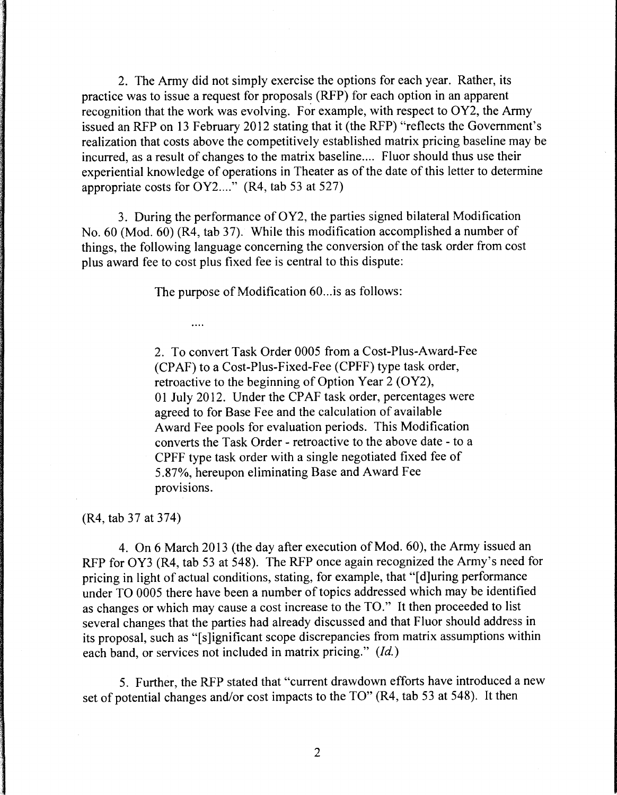2. The Army did not simply exercise the options for each year. Rather, its practice was to issue a request for proposals (RFP) for each option in an apparent recognition that the work was evolving. For example, with respect to OY2, the Army issued an RFP on 13 February 2012 stating that it (the RFP) "reflects the Government's realization that costs above the competitively established matrix pricing baseline may be incurred, as a result of changes to the matrix baseline.... Fluor should thus use their experiential knowledge of operations in Theater as of the date of this letter to determine appropriate costs for  $OY2...$ ..." (R4, tab 53 at 527)

3. During the performance of OY2, the parties signed bilateral Modification No.  $60$  (Mod.  $60$ ) (R4, tab 37). While this modification accomplished a number of things, the following language concerning the conversion of the task order from cost plus award fee to cost plus fixed fee is central to this dispute:

The purpose of Modification 60... is as follows:

 $\overline{\phantom{a}}$ 

2. To convert Task Order 0005 from a Cost-Plus-Award-Fee (CPAF) to a Cost-Plus-Fixed-Fee (CPFF) type task order, retroactive to the beginning of Option Year 2 (OY2), 01 July 2012. Under the CPAF task order, percentages were agreed to for Base Fee and the calculation of available Award Fee pools for evaluation periods. This Modification converts the Task Order - retroactive to the above date - to a CPFF type task order with a single negotiated fixed fee of 5.87%, hereupon eliminating Base and Award Fee provisions.

(R4, tab 37 at 374)

4. On 6 March 2013 (the day after execution of Mod. 60), the Army issued an RFP for OY3 (R4, tab 53 at 548). The RFP once again recognized the Army's need for pricing in light of actual conditions, stating, for example, that "[ d]uring performance under TO 0005 there have been a number of topics addressed which may be identified as changes or which may cause a cost increase to the TO." It then proceeded to list several changes that the parties had already discussed and that Fluor should address in its proposal, such as "[s]ignificant scope discrepancies from matrix assumptions within each band, or services not included in matrix pricing." *(Id.)* 

5. Further, the RFP stated that "current drawdown efforts have introduced a new set of potential changes and/or cost impacts to the TO" (R4, tab 53 at 548). It then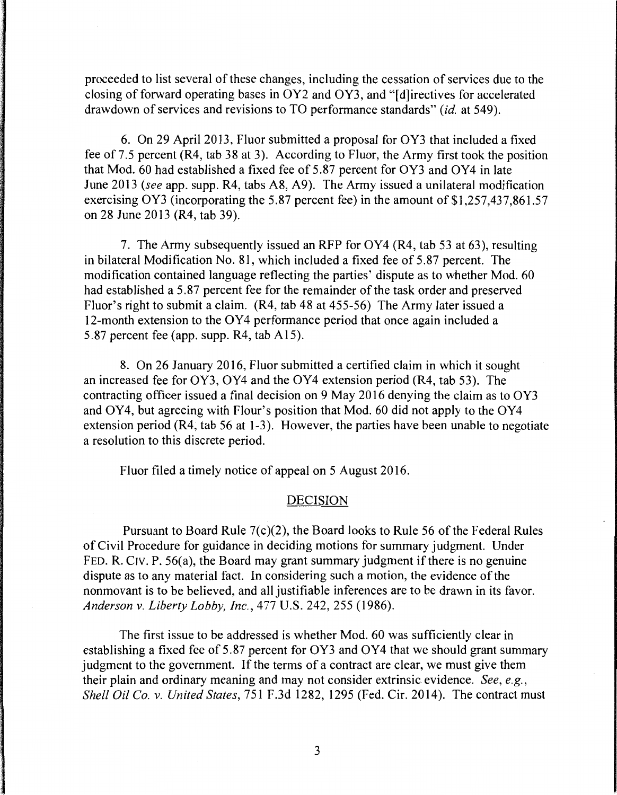proceeded to list several of these changes, including the cessation of services due to the closing of forward operating bases in OY2 and OY3, and "[d]irectives for accelerated drawdown of services and revisions to TO performance standards" *(id.* at 549).

6. On 29 April 2013, Fluor submitted a proposal for OY3 that included a fixed fee of 7.5 percent (R4, tab 38 at 3). According to Fluor, the Army first took the position that Mod. 60 had established a fixed fee of 5.87 percent for OY3 and OY4 in late June 2013 *(see* app. supp. R4, tabs A8, A9). The Army issued a unilateral modification exercising OY3 (incorporating the 5.87 percent fee) in the amount of  $$1,257,437,861.57$ on 28 June 2013 (R4, tab 39).

7. The Army subsequently issued an RFP for OY4 (R4, tab 53 at 63), resulting in bilateral Modification No. 81, which included a fixed fee of 5.87 percent. The modification contained language reflecting the parties' dispute as to whether Mod. 60 had established a 5.87 percent fee for the remainder of the task order and preserved Fluor's right to submit a claim. (R4, tab 48 at 455-56) The Army later issued a 12-month extension to the OY4 performance period that once again included a 5.87 percent fee (app. supp.  $R4$ , tab A15).

8. On 26 January 2016, Fluor submitted a certified claim in which it sought an increased fee for OY3, OY4 and the OY4 extension period (R4, tab 53). The contracting officer issued a final decision on 9 May 2016 denying the claim as to OY3 and OY4, but agreeing with Flour's position that Mod. 60 did not apply to the OY4 extension period (R4, tab 56 at 1-3). However, the parties have been unable to negotiate a resolution to this discrete period.

Fluor filed a timely notice of appeal on 5 August 2016.

### DECISION

Pursuant to Board Rule 7(c)(2), the Board looks to Rule 56 of the Federal Rules of Civil Procedure for guidance in deciding motions for summary judgment. Under FED. R. CIV. P.  $56(a)$ , the Board may grant summary judgment if there is no genuine dispute as to any material fact. In considering such a motion, the evidence of the nonmovant is to be believed, and all justifiable inferences are to be drawn in its favor. *Anderson v. Liberty Lobby, Inc.,* 477 U.S. 242, 255 (1986).

The first issue to be addressed is whether Mod. 60 was sufficiently clear in establishing a fixed fee of 5.87 percent for OY3 and OY4 that we should grant summary judgment to the government. If the terms of a contract are clear, we must give them their plain and ordinary meaning and may not consider extrinsic evidence. *See, e.g., Shell Oil Co. v. United States, 751 F.3d 1282, 1295 (Fed. Cir. 2014). The contract must*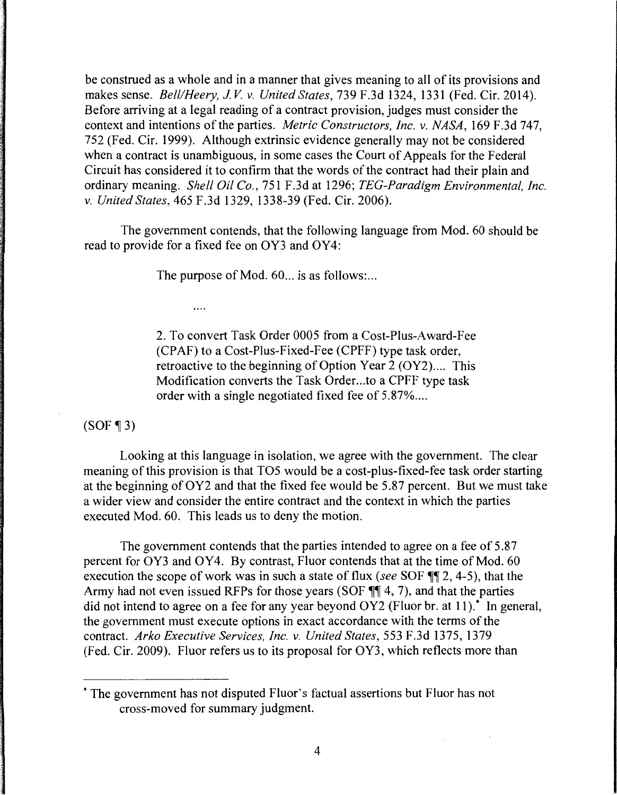be construed as a whole and in a manner that gives meaning to all of its provisions and makes sense. *Bell/Heery, JV v. United States,* 739 F.3d 1324, 1331 (Fed. Cir. 2014). Before arriving at a legal reading of a contract provision, judges must consider the context and intentions of the parties. *Metric Constructors, Inc. v. NASA,* 169 F.3d 747, 752 (Fed. Cir. 1999). Although extrinsic evidence generally may not be considered when a contract is unambiguous, in some cases the Court of Appeals for the Federal Circuit has considered it to confirm that the words of the confract had their plain and ordinary meaning. *Shell Oil Co.,* 751 F.3d at 1296; *TEG-Paradigm Environmental, Inc. v. United States,* 465 F.3d 1329, 1338-39 (Fed. Cir. 2006).

The government contends, that the following language from Mod. 60 should be read to provide for a fixed fee on OY3 and OY4:

The purpose of Mod. 60... is as follows:...

. . . .

2. To convert Task Order 0005 from a Cost-Plus-Award-Fee (CPAF) to a Cost-Plus-Fixed-Fee (CPFF) type task order, retroactive to the beginning of Option Year  $2 (OY2)$ .... This Modification converts the Task Order...to a CPFF type task order with a single negotiated fixed fee of 5.87% ....

 $(SOF \P 3)$ 

Looking at this language in isolation, we agree with the government. The clear meaning of this provision is that T05 would be a cost-plus-fixed-fee task order starting at the beginning of OY2 and that the fixed fee would be 5.87 percent. But we must take a wider view and consider the entire contract and the context in which the parties executed Mod. 60. This leads us to deny the motion.

The government contends that the parties intended to agree on a fee of 5.87 percent for OY3 and OY4. By contrast, Fluor contends that at the time of Mod. 60 execution the scope of work was in such a state of flux *(see* SOF  $\P$ ] 2, 4-5), that the Army had not even issued RFPs for those years (SOF  $\P\P$  4, 7), and that the parties did not intend to agree on a fee for any year beyond  $OY2$  (Fluor br. at 11).<sup>\*</sup> In general, the government must execute options in exact accordance with the terms of the contract. *Arko Executive Services, Inc. v. United States,* 553 F.3d 1375, 1379 (Fed. Cir. 2009). Fluor refers us to its proposal for OY3, which reflects more than

<sup>\*</sup> The government has not disputed Fluor' s factual assertions but Fluor has not cross-moved for summary judgment.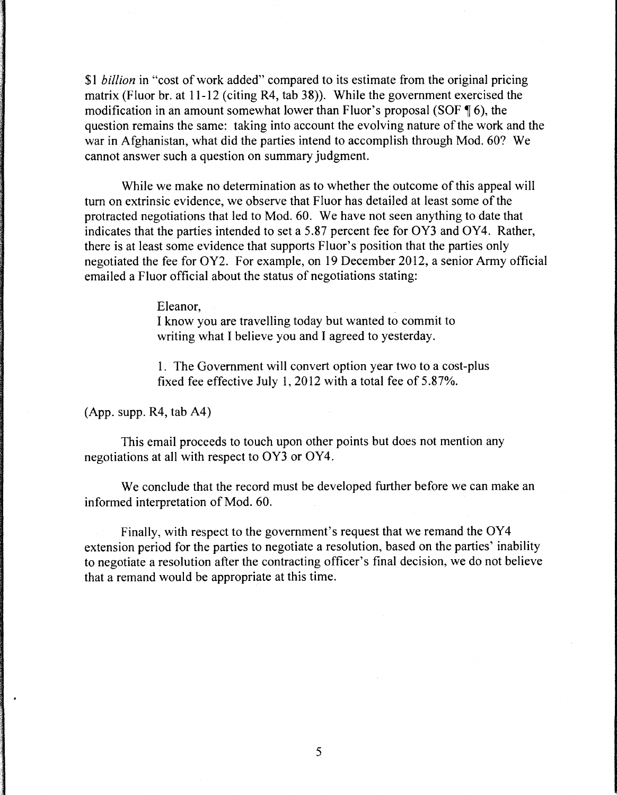\$1 *billion* in "cost of work added" compared to its estimate from the original pricing matrix (Fluor br. at  $11-12$  (citing R4, tab 38)). While the government exercised the modification in an amount somewhat lower than Fluor's proposal (SOF  $\P$  6), the question remains the same: taking into account the evolving nature of the work and the war in Afghanistan, what did the parties intend to accomplish through Mod. 60? We cannot answer such a question on summary judgment.

While we make no determination as to whether the outcome of this appeal will tum on extrinsic evidence, we observe that Fluor has detailed at least some of the protracted negotiations that led to Mod. 60. We have not seen anything to date that indicates that the parties intended to set a 5.87 percent fee for OY3 and OY4. Rather, there is at least some evidence that supports Fluor's position that the parties only negotiated the fee for OY2. For example, on 19 December 2012, a senior Army official emailed a Fluor official about the status of negotiations stating:

Eleanor,

I know you are travelling today but wanted to commit to writing what I believe you and I agreed to yesterday.

1. The Government will convert option year two to a cost-plus fixed fee effective July 1, 2012 with a total fee of 5.87%.

(App. supp. R4, tab A4)

This email proceeds to touch upon other points but does not mention any negotiations at all with respect to OY3 or OY4.

We conclude that the record must be developed further before we can make an informed interpretation of Mod. 60.

Finally, with respect to the government's request that we remand the OY4 extension period for the parties to negotiate a resolution, based on the parties' inability to negotiate a resolution after the contracting officer's final decision, we do not believe that a remand would be appropriate at this time.